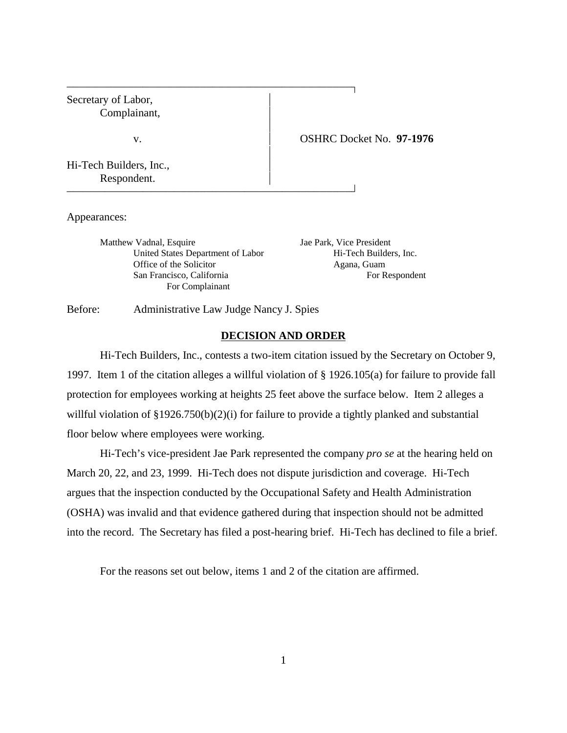

Appearances:

Matthew Vadnal, Esquire Jae Park, Vice President United States Department of Labor Hi-Tech Builders, Inc. Office of the Solicitor Agana, Guam San Francisco, California For Respondent For Complainant

Before: Administrative Law Judge Nancy J. Spies

# **DECISION AND ORDER**

Hi-Tech Builders, Inc., contests a two-item citation issued by the Secretary on October 9, 1997. Item 1 of the citation alleges a willful violation of § 1926.105(a) for failure to provide fall protection for employees working at heights 25 feet above the surface below. Item 2 alleges a willful violation of §1926.750(b)(2)(i) for failure to provide a tightly planked and substantial floor below where employees were working.

Hi-Tech's vice-president Jae Park represented the company *pro se* at the hearing held on March 20, 22, and 23, 1999. Hi-Tech does not dispute jurisdiction and coverage. Hi-Tech argues that the inspection conducted by the Occupational Safety and Health Administration (OSHA) was invalid and that evidence gathered during that inspection should not be admitted into the record. The Secretary has filed a post-hearing brief. Hi-Tech has declined to file a brief.

For the reasons set out below, items 1 and 2 of the citation are affirmed.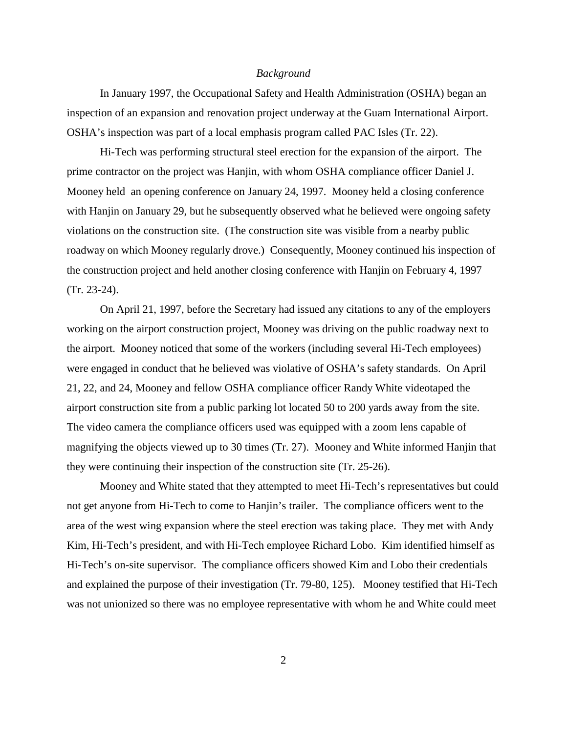## *Background*

In January 1997, the Occupational Safety and Health Administration (OSHA) began an inspection of an expansion and renovation project underway at the Guam International Airport. OSHA's inspection was part of a local emphasis program called PAC Isles (Tr. 22).

Hi-Tech was performing structural steel erection for the expansion of the airport. The prime contractor on the project was Hanjin, with whom OSHA compliance officer Daniel J. Mooney held an opening conference on January 24, 1997. Mooney held a closing conference with Hanjin on January 29, but he subsequently observed what he believed were ongoing safety violations on the construction site. (The construction site was visible from a nearby public roadway on which Mooney regularly drove.) Consequently, Mooney continued his inspection of the construction project and held another closing conference with Hanjin on February 4, 1997 (Tr. 23-24).

On April 21, 1997, before the Secretary had issued any citations to any of the employers working on the airport construction project, Mooney was driving on the public roadway next to the airport. Mooney noticed that some of the workers (including several Hi-Tech employees) were engaged in conduct that he believed was violative of OSHA's safety standards. On April 21, 22, and 24, Mooney and fellow OSHA compliance officer Randy White videotaped the airport construction site from a public parking lot located 50 to 200 yards away from the site. The video camera the compliance officers used was equipped with a zoom lens capable of magnifying the objects viewed up to 30 times (Tr. 27). Mooney and White informed Hanjin that they were continuing their inspection of the construction site (Tr. 25-26).

Mooney and White stated that they attempted to meet Hi-Tech's representatives but could not get anyone from Hi-Tech to come to Hanjin's trailer. The compliance officers went to the area of the west wing expansion where the steel erection was taking place. They met with Andy Kim, Hi-Tech's president, and with Hi-Tech employee Richard Lobo. Kim identified himself as Hi-Tech's on-site supervisor. The compliance officers showed Kim and Lobo their credentials and explained the purpose of their investigation (Tr. 79-80, 125). Mooney testified that Hi-Tech was not unionized so there was no employee representative with whom he and White could meet

2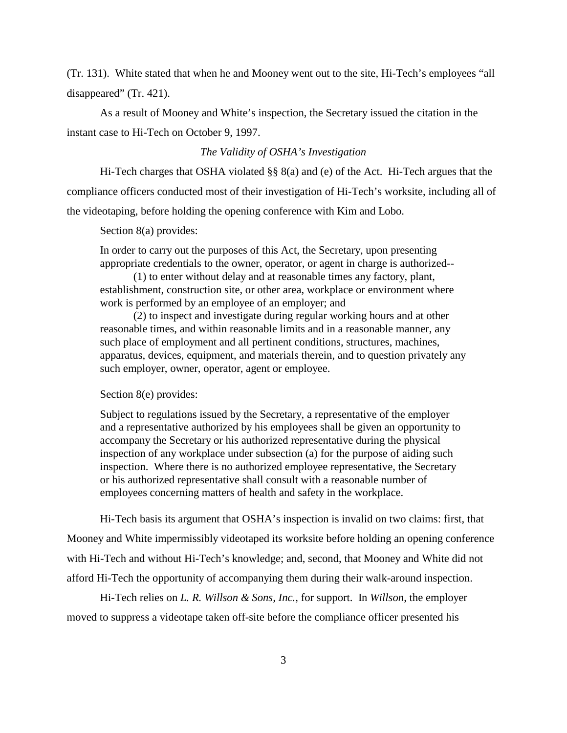(Tr. 131). White stated that when he and Mooney went out to the site, Hi-Tech's employees "all disappeared" (Tr. 421).

As a result of Mooney and White's inspection, the Secretary issued the citation in the instant case to Hi-Tech on October 9, 1997.

## *The Validity of OSHA's Investigation*

Hi-Tech charges that OSHA violated §§ 8(a) and (e) of the Act. Hi-Tech argues that the compliance officers conducted most of their investigation of Hi-Tech's worksite, including all of the videotaping, before holding the opening conference with Kim and Lobo.

Section 8(a) provides:

In order to carry out the purposes of this Act, the Secretary, upon presenting appropriate credentials to the owner, operator, or agent in charge is authorized--

(1) to enter without delay and at reasonable times any factory, plant, establishment, construction site, or other area, workplace or environment where work is performed by an employee of an employer; and

(2) to inspect and investigate during regular working hours and at other reasonable times, and within reasonable limits and in a reasonable manner, any such place of employment and all pertinent conditions, structures, machines, apparatus, devices, equipment, and materials therein, and to question privately any such employer, owner, operator, agent or employee.

#### Section 8(e) provides:

Subject to regulations issued by the Secretary, a representative of the employer and a representative authorized by his employees shall be given an opportunity to accompany the Secretary or his authorized representative during the physical inspection of any workplace under subsection (a) for the purpose of aiding such inspection. Where there is no authorized employee representative, the Secretary or his authorized representative shall consult with a reasonable number of employees concerning matters of health and safety in the workplace.

Hi-Tech basis its argument that OSHA's inspection is invalid on two claims: first, that Mooney and White impermissibly videotaped its worksite before holding an opening conference with Hi-Tech and without Hi-Tech's knowledge; and, second, that Mooney and White did not afford Hi-Tech the opportunity of accompanying them during their walk-around inspection.

Hi-Tech relies on *L. R. Willson & Sons, Inc.,* for support. In *Willson*, the employer moved to suppress a videotape taken off-site before the compliance officer presented his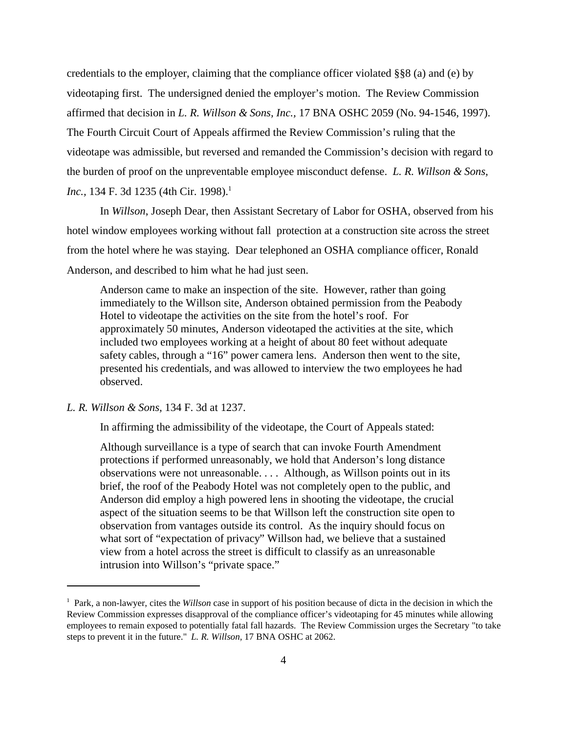credentials to the employer, claiming that the compliance officer violated §§8 (a) and (e) by videotaping first. The undersigned denied the employer's motion. The Review Commission affirmed that decision in *L. R. Willson & Sons, Inc.,* 17 BNA OSHC 2059 (No. 94-1546, 1997). The Fourth Circuit Court of Appeals affirmed the Review Commission's ruling that the videotape was admissible, but reversed and remanded the Commission's decision with regard to the burden of proof on the unpreventable employee misconduct defense. *L. R. Willson & Sons, Inc.*, 134 F. 3d 1235 (4th Cir. 1998).<sup>1</sup>

In *Willson*, Joseph Dear, then Assistant Secretary of Labor for OSHA, observed from his hotel window employees working without fall protection at a construction site across the street from the hotel where he was staying. Dear telephoned an OSHA compliance officer, Ronald Anderson, and described to him what he had just seen.

Anderson came to make an inspection of the site. However, rather than going immediately to the Willson site, Anderson obtained permission from the Peabody Hotel to videotape the activities on the site from the hotel's roof. For approximately 50 minutes, Anderson videotaped the activities at the site, which included two employees working at a height of about 80 feet without adequate safety cables, through a "16" power camera lens. Anderson then went to the site, presented his credentials, and was allowed to interview the two employees he had observed.

*L. R. Willson & Sons,* 134 F. 3d at 1237.

In affirming the admissibility of the videotape, the Court of Appeals stated:

Although surveillance is a type of search that can invoke Fourth Amendment protections if performed unreasonably, we hold that Anderson's long distance observations were not unreasonable. . . . Although, as Willson points out in its brief, the roof of the Peabody Hotel was not completely open to the public, and Anderson did employ a high powered lens in shooting the videotape, the crucial aspect of the situation seems to be that Willson left the construction site open to observation from vantages outside its control. As the inquiry should focus on what sort of "expectation of privacy" Willson had, we believe that a sustained view from a hotel across the street is difficult to classify as an unreasonable intrusion into Willson's "private space."

<sup>&</sup>lt;sup>1</sup> Park, a non-lawyer, cites the *Willson* case in support of his position because of dicta in the decision in which the Review Commission expresses disapproval of the compliance officer's videotaping for 45 minutes while allowing employees to remain exposed to potentially fatal fall hazards. The Review Commission urges the Secretary "to take steps to prevent it in the future." *L. R. Willson,* 17 BNA OSHC at 2062.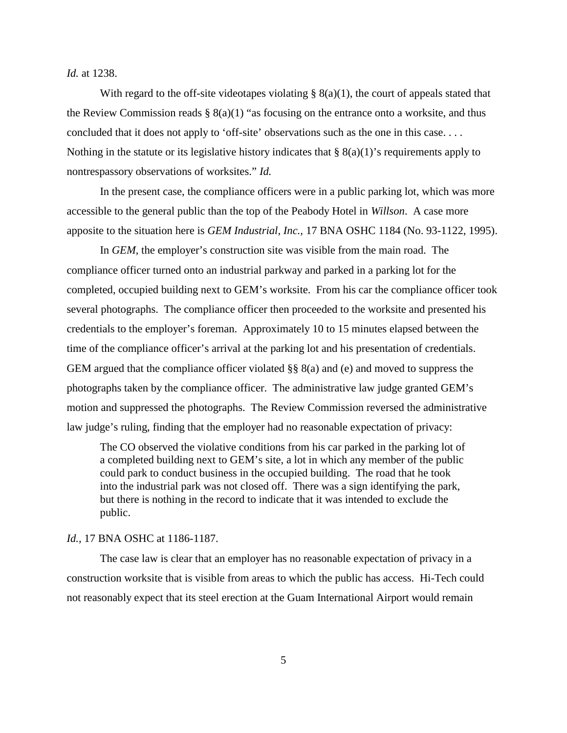*Id.* at 1238.

With regard to the off-site videotapes violating  $\S(8(a)(1))$ , the court of appeals stated that the Review Commission reads  $\S 8(a)(1)$  "as focusing on the entrance onto a worksite, and thus concluded that it does not apply to 'off-site' observations such as the one in this case. . . . Nothing in the statute or its legislative history indicates that  $\S(8a)(1)$ 's requirements apply to nontrespassory observations of worksites." *Id.*

In the present case, the compliance officers were in a public parking lot, which was more accessible to the general public than the top of the Peabody Hotel in *Willson*. A case more apposite to the situation here is *GEM Industrial, Inc.,* 17 BNA OSHC 1184 (No. 93-1122, 1995).

In *GEM*, the employer's construction site was visible from the main road. The compliance officer turned onto an industrial parkway and parked in a parking lot for the completed, occupied building next to GEM's worksite. From his car the compliance officer took several photographs. The compliance officer then proceeded to the worksite and presented his credentials to the employer's foreman. Approximately 10 to 15 minutes elapsed between the time of the compliance officer's arrival at the parking lot and his presentation of credentials. GEM argued that the compliance officer violated §§ 8(a) and (e) and moved to suppress the photographs taken by the compliance officer. The administrative law judge granted GEM's motion and suppressed the photographs. The Review Commission reversed the administrative law judge's ruling, finding that the employer had no reasonable expectation of privacy:

The CO observed the violative conditions from his car parked in the parking lot of a completed building next to GEM's site, a lot in which any member of the public could park to conduct business in the occupied building. The road that he took into the industrial park was not closed off. There was a sign identifying the park, but there is nothing in the record to indicate that it was intended to exclude the public.

#### *Id.,* 17 BNA OSHC at 1186-1187.

The case law is clear that an employer has no reasonable expectation of privacy in a construction worksite that is visible from areas to which the public has access. Hi-Tech could not reasonably expect that its steel erection at the Guam International Airport would remain

5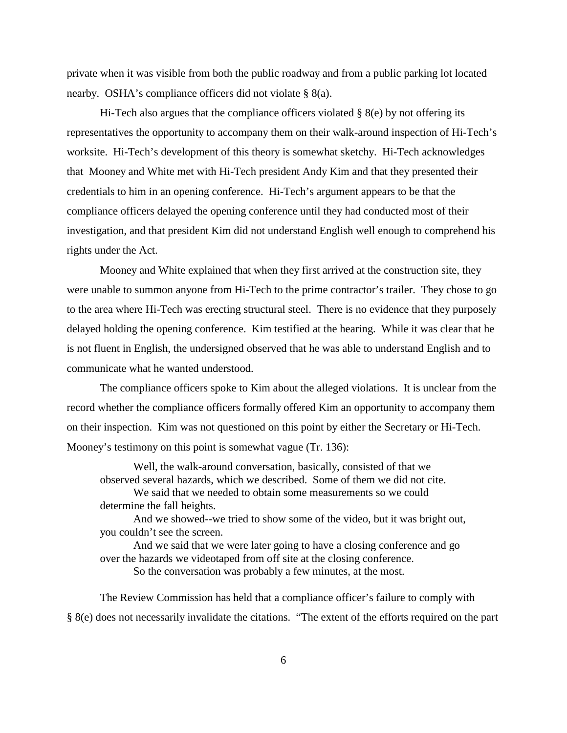private when it was visible from both the public roadway and from a public parking lot located nearby. OSHA's compliance officers did not violate § 8(a).

Hi-Tech also argues that the compliance officers violated  $\S$  8(e) by not offering its representatives the opportunity to accompany them on their walk-around inspection of Hi-Tech's worksite. Hi-Tech's development of this theory is somewhat sketchy. Hi-Tech acknowledges that Mooney and White met with Hi-Tech president Andy Kim and that they presented their credentials to him in an opening conference. Hi-Tech's argument appears to be that the compliance officers delayed the opening conference until they had conducted most of their investigation, and that president Kim did not understand English well enough to comprehend his rights under the Act.

Mooney and White explained that when they first arrived at the construction site, they were unable to summon anyone from Hi-Tech to the prime contractor's trailer. They chose to go to the area where Hi-Tech was erecting structural steel. There is no evidence that they purposely delayed holding the opening conference. Kim testified at the hearing. While it was clear that he is not fluent in English, the undersigned observed that he was able to understand English and to communicate what he wanted understood.

The compliance officers spoke to Kim about the alleged violations. It is unclear from the record whether the compliance officers formally offered Kim an opportunity to accompany them on their inspection. Kim was not questioned on this point by either the Secretary or Hi-Tech. Mooney's testimony on this point is somewhat vague (Tr. 136):

Well, the walk-around conversation, basically, consisted of that we observed several hazards, which we described. Some of them we did not cite.

We said that we needed to obtain some measurements so we could determine the fall heights.

And we showed--we tried to show some of the video, but it was bright out, you couldn't see the screen.

And we said that we were later going to have a closing conference and go over the hazards we videotaped from off site at the closing conference.

So the conversation was probably a few minutes, at the most.

The Review Commission has held that a compliance officer's failure to comply with § 8(e) does not necessarily invalidate the citations. "The extent of the efforts required on the part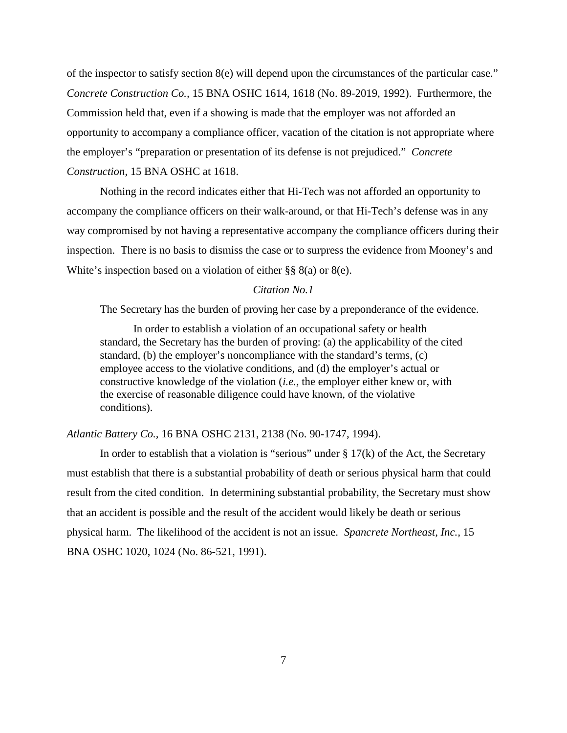of the inspector to satisfy section 8(e) will depend upon the circumstances of the particular case." *Concrete Construction Co.,* 15 BNA OSHC 1614, 1618 (No. 89-2019, 1992). Furthermore, the Commission held that, even if a showing is made that the employer was not afforded an opportunity to accompany a compliance officer, vacation of the citation is not appropriate where the employer's "preparation or presentation of its defense is not prejudiced." *Concrete Construction,* 15 BNA OSHC at 1618.

Nothing in the record indicates either that Hi-Tech was not afforded an opportunity to accompany the compliance officers on their walk-around, or that Hi-Tech's defense was in any way compromised by not having a representative accompany the compliance officers during their inspection. There is no basis to dismiss the case or to surpress the evidence from Mooney's and White's inspection based on a violation of either §§ 8(a) or 8(e).

# *Citation No.1*

The Secretary has the burden of proving her case by a preponderance of the evidence.

In order to establish a violation of an occupational safety or health standard, the Secretary has the burden of proving: (a) the applicability of the cited standard, (b) the employer's noncompliance with the standard's terms, (c) employee access to the violative conditions, and (d) the employer's actual or constructive knowledge of the violation (*i.e.,* the employer either knew or, with the exercise of reasonable diligence could have known, of the violative conditions).

#### *Atlantic Battery Co.,* 16 BNA OSHC 2131, 2138 (No. 90-1747, 1994).

In order to establish that a violation is "serious" under  $\S 17(k)$  of the Act, the Secretary must establish that there is a substantial probability of death or serious physical harm that could result from the cited condition. In determining substantial probability, the Secretary must show that an accident is possible and the result of the accident would likely be death or serious physical harm. The likelihood of the accident is not an issue. *Spancrete Northeast, Inc.,* 15 BNA OSHC 1020, 1024 (No. 86-521, 1991).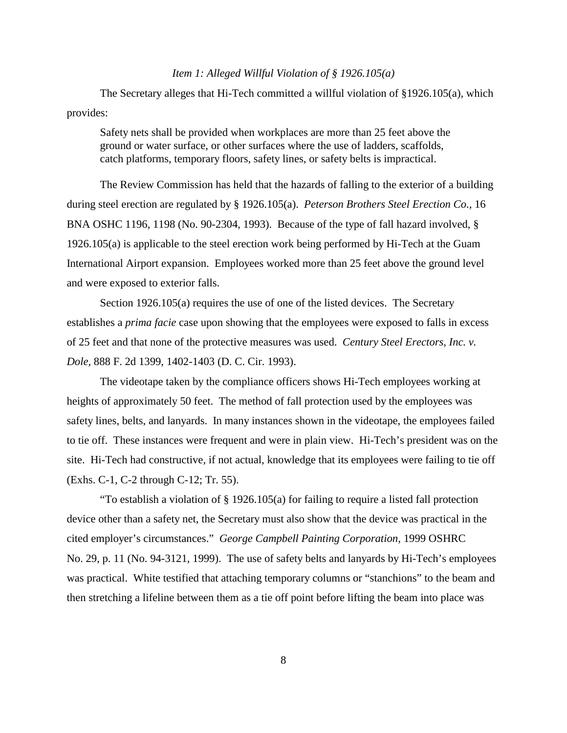# *Item 1: Alleged Willful Violation of § 1926.105(a)*

The Secretary alleges that Hi-Tech committed a willful violation of §1926.105(a), which provides:

Safety nets shall be provided when workplaces are more than 25 feet above the ground or water surface, or other surfaces where the use of ladders, scaffolds, catch platforms, temporary floors, safety lines, or safety belts is impractical.

The Review Commission has held that the hazards of falling to the exterior of a building during steel erection are regulated by § 1926.105(a). *Peterson Brothers Steel Erection Co.,* 16 BNA OSHC 1196, 1198 (No. 90-2304, 1993). Because of the type of fall hazard involved, § 1926.105(a) is applicable to the steel erection work being performed by Hi-Tech at the Guam International Airport expansion. Employees worked more than 25 feet above the ground level and were exposed to exterior falls.

Section 1926.105(a) requires the use of one of the listed devices. The Secretary establishes a *prima facie* case upon showing that the employees were exposed to falls in excess of 25 feet and that none of the protective measures was used. *Century Steel Erectors, Inc. v. Dole,* 888 F. 2d 1399, 1402-1403 (D. C. Cir. 1993).

The videotape taken by the compliance officers shows Hi-Tech employees working at heights of approximately 50 feet. The method of fall protection used by the employees was safety lines, belts, and lanyards. In many instances shown in the videotape, the employees failed to tie off. These instances were frequent and were in plain view. Hi-Tech's president was on the site. Hi-Tech had constructive, if not actual, knowledge that its employees were failing to tie off (Exhs. C-1, C-2 through C-12; Tr. 55).

"To establish a violation of § 1926.105(a) for failing to require a listed fall protection device other than a safety net, the Secretary must also show that the device was practical in the cited employer's circumstances." *George Campbell Painting Corporation,* 1999 OSHRC No. 29, p. 11 (No. 94-3121, 1999). The use of safety belts and lanyards by Hi-Tech's employees was practical. White testified that attaching temporary columns or "stanchions" to the beam and then stretching a lifeline between them as a tie off point before lifting the beam into place was

8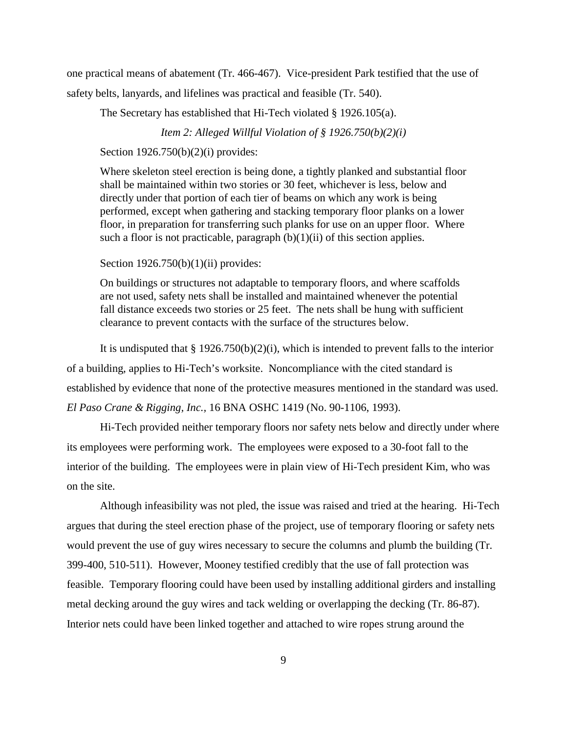one practical means of abatement (Tr. 466-467). Vice-president Park testified that the use of safety belts, lanyards, and lifelines was practical and feasible (Tr. 540).

The Secretary has established that Hi-Tech violated § 1926.105(a).

*Item 2: Alleged Willful Violation of § 1926.750(b)(2)(i)*

Section 1926.750(b)(2)(i) provides:

Where skeleton steel erection is being done, a tightly planked and substantial floor shall be maintained within two stories or 30 feet, whichever is less, below and directly under that portion of each tier of beams on which any work is being performed, except when gathering and stacking temporary floor planks on a lower floor, in preparation for transferring such planks for use on an upper floor. Where such a floor is not practicable, paragraph  $(b)(1)(ii)$  of this section applies.

Section  $1926.750(b)(1)(ii)$  provides:

On buildings or structures not adaptable to temporary floors, and where scaffolds are not used, safety nets shall be installed and maintained whenever the potential fall distance exceeds two stories or 25 feet. The nets shall be hung with sufficient clearance to prevent contacts with the surface of the structures below.

It is undisputed that  $\S 1926.750(b)(2)(i)$ , which is intended to prevent falls to the interior of a building, applies to Hi-Tech's worksite. Noncompliance with the cited standard is established by evidence that none of the protective measures mentioned in the standard was used. *El Paso Crane & Rigging, Inc.,* 16 BNA OSHC 1419 (No. 90-1106, 1993).

Hi-Tech provided neither temporary floors nor safety nets below and directly under where its employees were performing work. The employees were exposed to a 30-foot fall to the interior of the building. The employees were in plain view of Hi-Tech president Kim, who was on the site.

Although infeasibility was not pled, the issue was raised and tried at the hearing. Hi-Tech argues that during the steel erection phase of the project, use of temporary flooring or safety nets would prevent the use of guy wires necessary to secure the columns and plumb the building (Tr. 399-400, 510-511). However, Mooney testified credibly that the use of fall protection was feasible. Temporary flooring could have been used by installing additional girders and installing metal decking around the guy wires and tack welding or overlapping the decking (Tr. 86-87). Interior nets could have been linked together and attached to wire ropes strung around the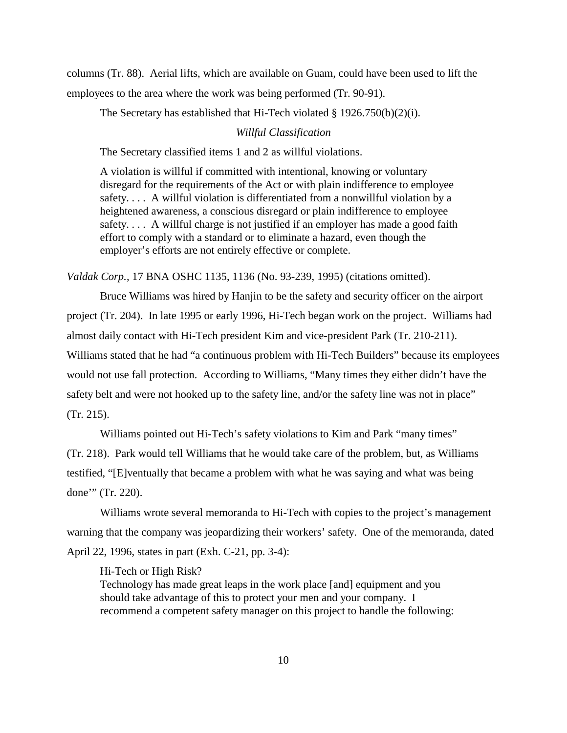columns (Tr. 88). Aerial lifts, which are available on Guam, could have been used to lift the employees to the area where the work was being performed (Tr. 90-91).

The Secretary has established that Hi-Tech violated § 1926.750(b)(2)(i).

## *Willful Classification*

The Secretary classified items 1 and 2 as willful violations.

A violation is willful if committed with intentional, knowing or voluntary disregard for the requirements of the Act or with plain indifference to employee safety. . . . A willful violation is differentiated from a nonwillful violation by a heightened awareness, a conscious disregard or plain indifference to employee safety.... A willful charge is not justified if an employer has made a good faith effort to comply with a standard or to eliminate a hazard, even though the employer's efforts are not entirely effective or complete.

*Valdak Corp.,* 17 BNA OSHC 1135, 1136 (No. 93-239, 1995) (citations omitted).

Bruce Williams was hired by Hanjin to be the safety and security officer on the airport project (Tr. 204). In late 1995 or early 1996, Hi-Tech began work on the project. Williams had almost daily contact with Hi-Tech president Kim and vice-president Park (Tr. 210-211). Williams stated that he had "a continuous problem with Hi-Tech Builders" because its employees would not use fall protection. According to Williams, "Many times they either didn't have the safety belt and were not hooked up to the safety line, and/or the safety line was not in place" (Tr. 215).

Williams pointed out Hi-Tech's safety violations to Kim and Park "many times"

(Tr. 218). Park would tell Williams that he would take care of the problem, but, as Williams testified, "[E]ventually that became a problem with what he was saying and what was being done'" (Tr. 220).

Williams wrote several memoranda to Hi-Tech with copies to the project's management warning that the company was jeopardizing their workers' safety. One of the memoranda, dated April 22, 1996, states in part (Exh. C-21, pp. 3-4):

Hi-Tech or High Risk?

Technology has made great leaps in the work place [and] equipment and you should take advantage of this to protect your men and your company. I recommend a competent safety manager on this project to handle the following: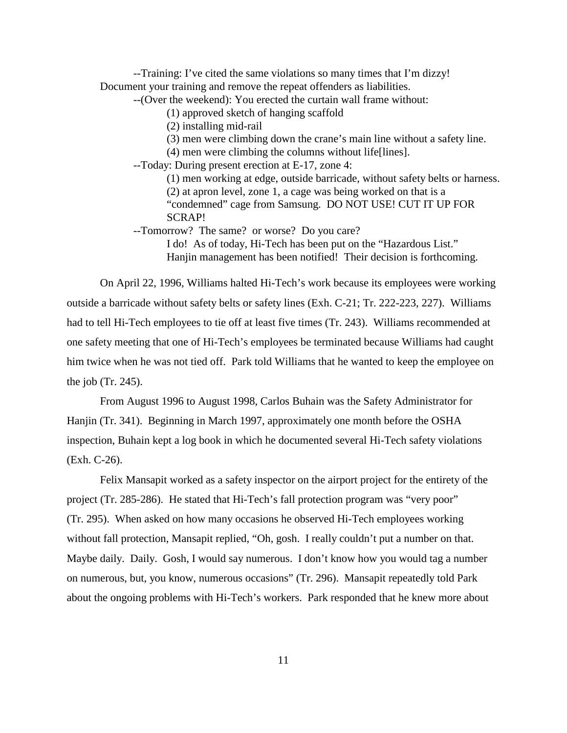--Training: I've cited the same violations so many times that I'm dizzy! Document your training and remove the repeat offenders as liabilities.

--(Over the weekend): You erected the curtain wall frame without:

(1) approved sketch of hanging scaffold

(2) installing mid-rail

(3) men were climbing down the crane's main line without a safety line.

(4) men were climbing the columns without life[lines].

--Today: During present erection at E-17, zone 4:

(1) men working at edge, outside barricade, without safety belts or harness. (2) at apron level, zone 1, a cage was being worked on that is a "condemned" cage from Samsung. DO NOT USE! CUT IT UP FOR SCRAP!

--Tomorrow? The same? or worse? Do you care?

I do! As of today, Hi-Tech has been put on the "Hazardous List." Hanjin management has been notified! Their decision is forthcoming.

On April 22, 1996, Williams halted Hi-Tech's work because its employees were working outside a barricade without safety belts or safety lines (Exh. C-21; Tr. 222-223, 227). Williams had to tell Hi-Tech employees to tie off at least five times (Tr. 243). Williams recommended at one safety meeting that one of Hi-Tech's employees be terminated because Williams had caught him twice when he was not tied off. Park told Williams that he wanted to keep the employee on the job (Tr. 245).

From August 1996 to August 1998, Carlos Buhain was the Safety Administrator for Hanjin (Tr. 341). Beginning in March 1997, approximately one month before the OSHA inspection, Buhain kept a log book in which he documented several Hi-Tech safety violations (Exh. C-26).

Felix Mansapit worked as a safety inspector on the airport project for the entirety of the project (Tr. 285-286). He stated that Hi-Tech's fall protection program was "very poor" (Tr. 295). When asked on how many occasions he observed Hi-Tech employees working without fall protection, Mansapit replied, "Oh, gosh. I really couldn't put a number on that. Maybe daily. Daily. Gosh, I would say numerous. I don't know how you would tag a number on numerous, but, you know, numerous occasions" (Tr. 296). Mansapit repeatedly told Park about the ongoing problems with Hi-Tech's workers. Park responded that he knew more about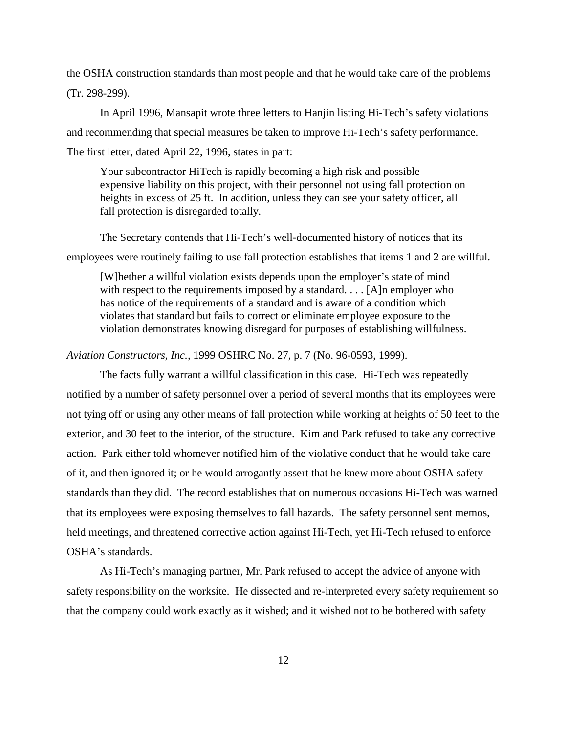the OSHA construction standards than most people and that he would take care of the problems (Tr. 298-299).

In April 1996, Mansapit wrote three letters to Hanjin listing Hi-Tech's safety violations and recommending that special measures be taken to improve Hi-Tech's safety performance. The first letter, dated April 22, 1996, states in part:

Your subcontractor HiTech is rapidly becoming a high risk and possible expensive liability on this project, with their personnel not using fall protection on heights in excess of 25 ft. In addition, unless they can see your safety officer, all fall protection is disregarded totally.

The Secretary contends that Hi-Tech's well-documented history of notices that its employees were routinely failing to use fall protection establishes that items 1 and 2 are willful.

[W]hether a willful violation exists depends upon the employer's state of mind with respect to the requirements imposed by a standard. . . . [A]n employer who has notice of the requirements of a standard and is aware of a condition which violates that standard but fails to correct or eliminate employee exposure to the violation demonstrates knowing disregard for purposes of establishing willfulness.

### *Aviation Constructors, Inc.,* 1999 OSHRC No. 27, p. 7 (No. 96-0593, 1999).

The facts fully warrant a willful classification in this case. Hi-Tech was repeatedly notified by a number of safety personnel over a period of several months that its employees were not tying off or using any other means of fall protection while working at heights of 50 feet to the exterior, and 30 feet to the interior, of the structure. Kim and Park refused to take any corrective action. Park either told whomever notified him of the violative conduct that he would take care of it, and then ignored it; or he would arrogantly assert that he knew more about OSHA safety standards than they did. The record establishes that on numerous occasions Hi-Tech was warned that its employees were exposing themselves to fall hazards. The safety personnel sent memos, held meetings, and threatened corrective action against Hi-Tech, yet Hi-Tech refused to enforce OSHA's standards.

As Hi-Tech's managing partner, Mr. Park refused to accept the advice of anyone with safety responsibility on the worksite. He dissected and re-interpreted every safety requirement so that the company could work exactly as it wished; and it wished not to be bothered with safety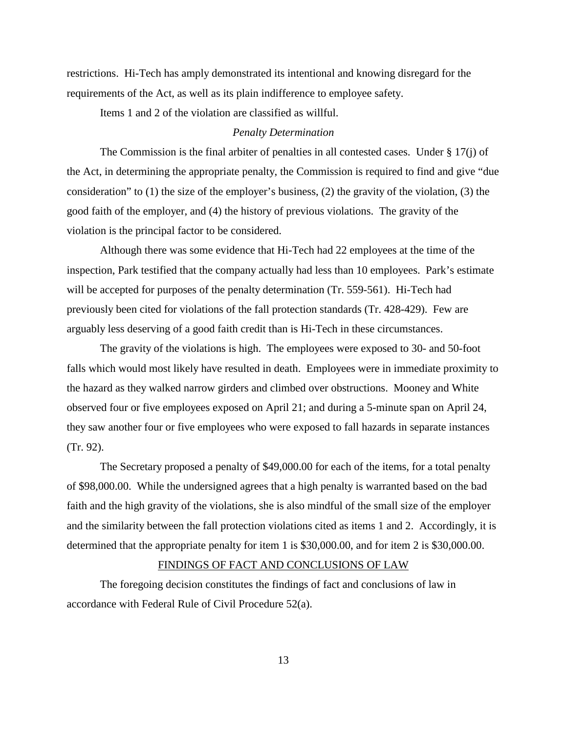restrictions. Hi-Tech has amply demonstrated its intentional and knowing disregard for the requirements of the Act, as well as its plain indifference to employee safety.

Items 1 and 2 of the violation are classified as willful.

# *Penalty Determination*

The Commission is the final arbiter of penalties in all contested cases. Under § 17(j) of the Act, in determining the appropriate penalty, the Commission is required to find and give "due consideration" to (1) the size of the employer's business, (2) the gravity of the violation, (3) the good faith of the employer, and (4) the history of previous violations. The gravity of the violation is the principal factor to be considered.

Although there was some evidence that Hi-Tech had 22 employees at the time of the inspection, Park testified that the company actually had less than 10 employees. Park's estimate will be accepted for purposes of the penalty determination (Tr. 559-561). Hi-Tech had previously been cited for violations of the fall protection standards (Tr. 428-429). Few are arguably less deserving of a good faith credit than is Hi-Tech in these circumstances.

The gravity of the violations is high. The employees were exposed to 30- and 50-foot falls which would most likely have resulted in death. Employees were in immediate proximity to the hazard as they walked narrow girders and climbed over obstructions. Mooney and White observed four or five employees exposed on April 21; and during a 5-minute span on April 24, they saw another four or five employees who were exposed to fall hazards in separate instances (Tr. 92).

The Secretary proposed a penalty of \$49,000.00 for each of the items, for a total penalty of \$98,000.00. While the undersigned agrees that a high penalty is warranted based on the bad faith and the high gravity of the violations, she is also mindful of the small size of the employer and the similarity between the fall protection violations cited as items 1 and 2. Accordingly, it is determined that the appropriate penalty for item 1 is \$30,000.00, and for item 2 is \$30,000.00.

# FINDINGS OF FACT AND CONCLUSIONS OF LAW

The foregoing decision constitutes the findings of fact and conclusions of law in accordance with Federal Rule of Civil Procedure 52(a).